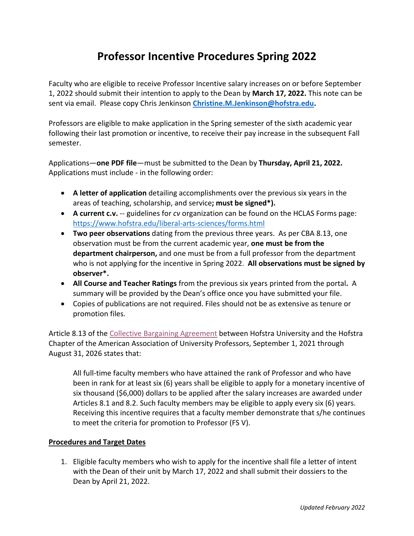## **Professor Incentive Procedures Spring 2022**

Faculty who are eligible to receive Professor Incentive salary increases on or before September 1, 2022 should submit their intention to apply to the Dean by **March 17, 2022.** This note can be sent via email. Please copy Chris Jenkinson **[Christine.M.Jenkinson@hofstra.edu.](mailto:Christine.M.Jenkinson@hofstra.edu)**

Professors are eligible to make application in the Spring semester of the sixth academic year following their last promotion or incentive, to receive their pay increase in the subsequent Fall semester.

Applications—**one PDF file**—must be submitted to the Dean by **Thursday, April 21, 2022.**  Applications must include - in the following order:

- **A letter of application** detailing accomplishments over the previous six years in the areas of teaching, scholarship, and service**; must be signed\*).**
- **A current c.v.** -- guidelines for *cv* organization can be found on the HCLAS Forms page: <https://www.hofstra.edu/liberal-arts-sciences/forms.html>
- **Two peer observations** dating from the previous three years. As per CBA 8.13, one observation must be from the current academic year, **one must be from the department chairperson,** and one must be from a full professor from the department who is not applying for the incentive in Spring 2022. **All observations must be signed by observer\*.**
- **All Course and Teacher Ratings** from the previous six years printed from the portal**.** A summary will be provided by the Dean's office once you have submitted your file.
- Copies of publications are not required. Files should not be as extensive as tenure or promotion files.

Article 8.13 of the [Collective Bargaining Agreement](http://www.hofstra.edu/pdf/about/administration/provost/final-2016-2021-aaup-collective-bargaining-agreement.pdf) between Hofstra University and the Hofstra Chapter of the American Association of University Professors, September 1, 2021 through August 31, 2026 states that:

All full-time faculty members who have attained the rank of Professor and who have been in rank for at least six (6) years shall be eligible to apply for a monetary incentive of six thousand (\$6,000) dollars to be applied after the salary increases are awarded under Articles 8.1 and 8.2. Such faculty members may be eligible to apply every six (6) years. Receiving this incentive requires that a faculty member demonstrate that s/he continues to meet the criteria for promotion to Professor (FS V).

## **Procedures and Target Dates**

1. Eligible faculty members who wish to apply for the incentive shall file a letter of intent with the Dean of their unit by March 17, 2022 and shall submit their dossiers to the Dean by April 21, 2022.